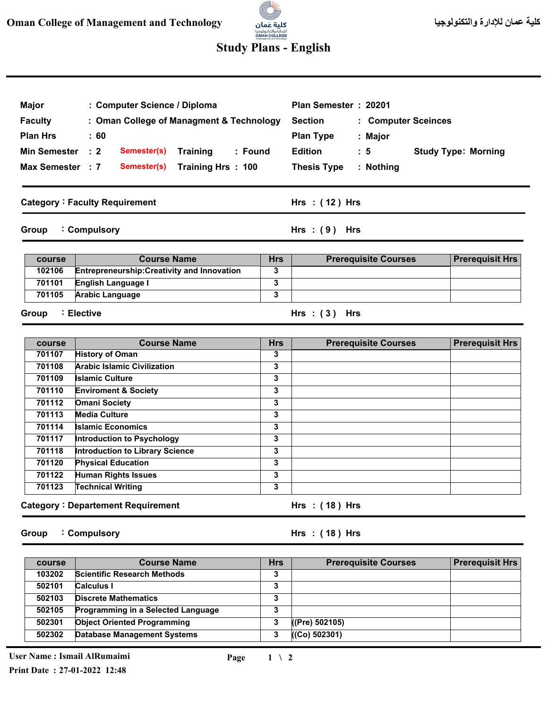

## **Study Plans - English**

| Major<br>: Computer Science / Diploma<br><b>Faculty</b><br>: Oman College of Managment & Technology<br><b>Plan Hrs</b><br>:60<br><b>Min Semester</b><br>$\therefore$ 2<br>Semester(s)<br>Training<br>: Found<br>Max Semester : 7<br>Semester(s)<br>Training Hrs: 100 |                                                    |            | Plan Semester: 20201<br><b>Section</b><br>: Computer Sceinces<br><b>Plan Type</b><br>: Major<br><b>Edition</b><br>$\therefore$ 5<br><b>Study Type: Morning</b><br><b>Thesis Type</b><br>: Nothing |                        |  |
|----------------------------------------------------------------------------------------------------------------------------------------------------------------------------------------------------------------------------------------------------------------------|----------------------------------------------------|------------|---------------------------------------------------------------------------------------------------------------------------------------------------------------------------------------------------|------------------------|--|
|                                                                                                                                                                                                                                                                      |                                                    |            |                                                                                                                                                                                                   |                        |  |
|                                                                                                                                                                                                                                                                      | <b>Category: Faculty Requirement</b>               |            | Hrs: $(12)$ Hrs                                                                                                                                                                                   |                        |  |
| Group                                                                                                                                                                                                                                                                | : Compulsory                                       |            | $Hrs : (9)$ Hrs                                                                                                                                                                                   |                        |  |
| course                                                                                                                                                                                                                                                               | <b>Course Name</b>                                 | <b>Hrs</b> | <b>Prerequisite Courses</b>                                                                                                                                                                       | <b>Prerequisit Hrs</b> |  |
| 102106                                                                                                                                                                                                                                                               | <b>Entrepreneurship: Creativity and Innovation</b> | 3          |                                                                                                                                                                                                   |                        |  |
| 701101                                                                                                                                                                                                                                                               | <b>English Language I</b>                          | 3          |                                                                                                                                                                                                   |                        |  |
| 701105                                                                                                                                                                                                                                                               | <b>Arabic Language</b>                             | 3          |                                                                                                                                                                                                   |                        |  |
| Group                                                                                                                                                                                                                                                                | : Elective                                         |            | Hrs: $(3)$ Hrs                                                                                                                                                                                    |                        |  |
| course                                                                                                                                                                                                                                                               | <b>Course Name</b>                                 | <b>Hrs</b> | <b>Prerequisite Courses</b>                                                                                                                                                                       | <b>Prerequisit Hrs</b> |  |
| 701107                                                                                                                                                                                                                                                               | <b>History of Oman</b>                             | 3          |                                                                                                                                                                                                   |                        |  |
| 701108                                                                                                                                                                                                                                                               | <b>Arabic Islamic Civilization</b>                 | 3          |                                                                                                                                                                                                   |                        |  |
| 701109                                                                                                                                                                                                                                                               | <b>Islamic Culture</b>                             | 3          |                                                                                                                                                                                                   |                        |  |
| 701110                                                                                                                                                                                                                                                               | <b>Enviroment &amp; Society</b>                    | 3          |                                                                                                                                                                                                   |                        |  |
| 701112                                                                                                                                                                                                                                                               | <b>Omani Society</b>                               | 3          |                                                                                                                                                                                                   |                        |  |
| 701113                                                                                                                                                                                                                                                               | <b>Media Culture</b>                               | 3          |                                                                                                                                                                                                   |                        |  |

**Category Departement Requirement :**

**Islamic Economics** 

**Physical Education Human Rights Issues Technical Writing** 

**Introduction to Psychology Introduction to Library Science** 

**Group Compulsory :**

**( 18 ) Hrs : Hrs**

**Hrs ( 18 ) : Hrs**

| course | <b>Course Name</b>                        | <b>Hrs</b>     | <b>Prerequisite Courses</b> | <b>Prerequisit Hrs</b> |
|--------|-------------------------------------------|----------------|-----------------------------|------------------------|
| 103202 | <b>Scientific Research Methods</b>        | 3              |                             |                        |
| 502101 | <b>Calculus I</b>                         | 3              |                             |                        |
| 502103 | <b>Discrete Mathematics</b>               | 3              |                             |                        |
| 502105 | <b>Programming in a Selected Language</b> | <u>,</u><br>٠J |                             |                        |
| 502301 | <b>Object Oriented Programming</b>        |                | ((Pre) 502105)              |                        |
| 502302 | <b>Database Management Systems</b>        | 3              | ((Co) 502301)               |                        |